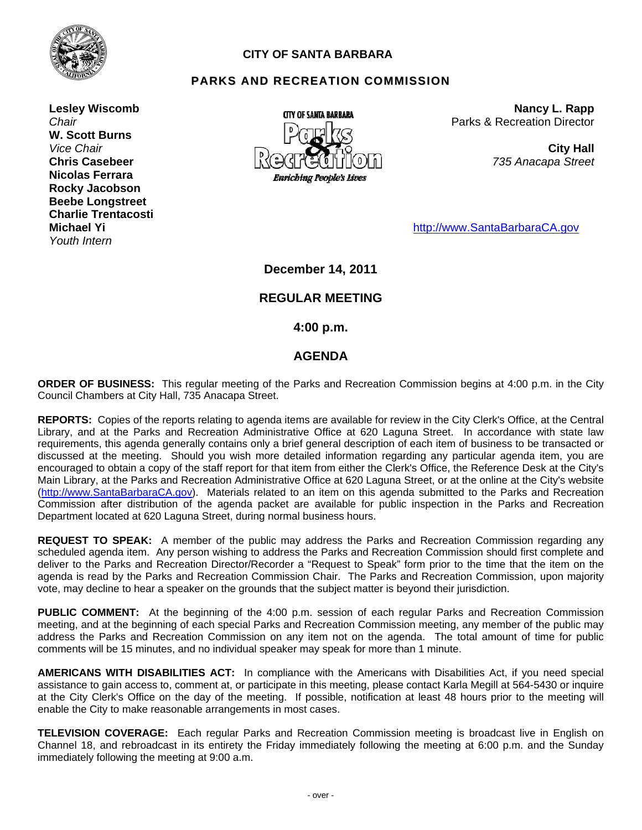

## **CITY OF SANTA BARBARA**

## **PARKS AND RECREATION COMMISSION**

**Lesley Wiscomb**  *Chair*  **W. Scott Burns**  *Vice Chair*  **Chris Casebeer Nicolas Ferrara Rocky Jacobson Beebe Longstreet Charlie Trentacosti Michael Yi**  *Youth Intern* 



**Nancy L. Rapp** Parks & Recreation Director

> **City Hall** *735 Anacapa Street*

http://www.SantaBarbaraCA.gov

**December 14, 2011** 

# **REGULAR MEETING**

 **4:00 p.m.** 

## **AGENDA**

**ORDER OF BUSINESS:** This regular meeting of the Parks and Recreation Commission begins at 4:00 p.m. in the City Council Chambers at City Hall, 735 Anacapa Street.

**REPORTS:** Copies of the reports relating to agenda items are available for review in the City Clerk's Office, at the Central Library, and at the Parks and Recreation Administrative Office at 620 Laguna Street. In accordance with state law requirements, this agenda generally contains only a brief general description of each item of business to be transacted or discussed at the meeting. Should you wish more detailed information regarding any particular agenda item, you are encouraged to obtain a copy of the staff report for that item from either the Clerk's Office, the Reference Desk at the City's Main Library, at the Parks and Recreation Administrative Office at 620 Laguna Street, or at the online at the City's website (http://www.SantaBarbaraCA.gov). Materials related to an item on this agenda submitted to the Parks and Recreation Commission after distribution of the agenda packet are available for public inspection in the Parks and Recreation Department located at 620 Laguna Street, during normal business hours.

**REQUEST TO SPEAK:** A member of the public may address the Parks and Recreation Commission regarding any scheduled agenda item. Any person wishing to address the Parks and Recreation Commission should first complete and deliver to the Parks and Recreation Director/Recorder a "Request to Speak" form prior to the time that the item on the agenda is read by the Parks and Recreation Commission Chair. The Parks and Recreation Commission, upon majority vote, may decline to hear a speaker on the grounds that the subject matter is beyond their jurisdiction.

**PUBLIC COMMENT:** At the beginning of the 4:00 p.m. session of each regular Parks and Recreation Commission meeting, and at the beginning of each special Parks and Recreation Commission meeting, any member of the public may address the Parks and Recreation Commission on any item not on the agenda. The total amount of time for public comments will be 15 minutes, and no individual speaker may speak for more than 1 minute.

**AMERICANS WITH DISABILITIES ACT:** In compliance with the Americans with Disabilities Act, if you need special assistance to gain access to, comment at, or participate in this meeting, please contact Karla Megill at 564-5430 or inquire at the City Clerk's Office on the day of the meeting. If possible, notification at least 48 hours prior to the meeting will enable the City to make reasonable arrangements in most cases.

**TELEVISION COVERAGE:** Each regular Parks and Recreation Commission meeting is broadcast live in English on Channel 18, and rebroadcast in its entirety the Friday immediately following the meeting at 6:00 p.m. and the Sunday immediately following the meeting at 9:00 a.m.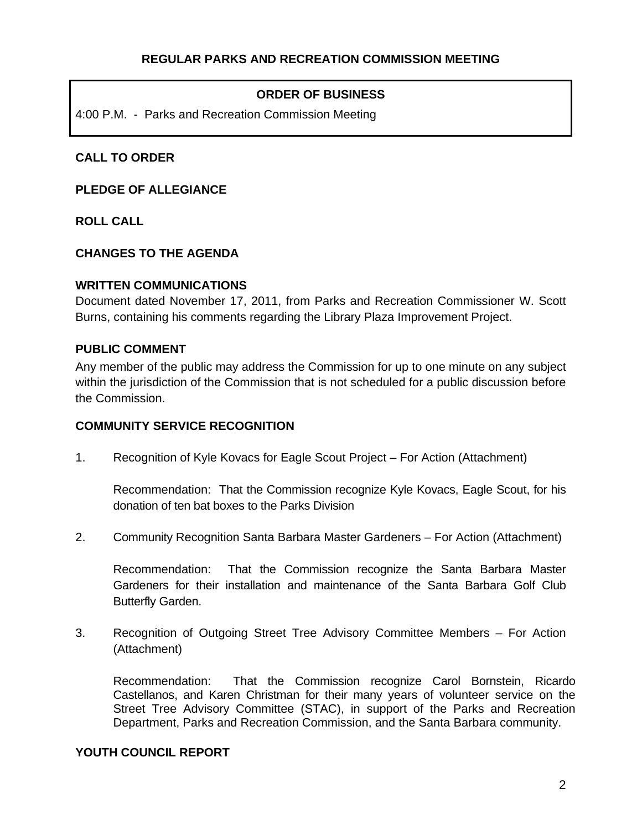# **ORDER OF BUSINESS**

4:00 P.M. - Parks and Recreation Commission Meeting

# **CALL TO ORDER**

**PLEDGE OF ALLEGIANCE** 

**ROLL CALL** 

## **CHANGES TO THE AGENDA**

#### **WRITTEN COMMUNICATIONS**

Document dated November 17, 2011, from Parks and Recreation Commissioner W. Scott Burns, containing his comments regarding the Library Plaza Improvement Project.

#### **PUBLIC COMMENT**

Any member of the public may address the Commission for up to one minute on any subject within the jurisdiction of the Commission that is not scheduled for a public discussion before the Commission.

#### **COMMUNITY SERVICE RECOGNITION**

1.Recognition of Kyle Kovacs for Eagle Scout Project – For Action (Attachment)

 Recommendation: That the Commission recognize Kyle Kovacs, Eagle Scout, for his donation of ten bat boxes to the Parks Division

2. Community Recognition Santa Barbara Master Gardeners – For Action (Attachment)

 Recommendation: That the Commission recognize the Santa Barbara Master Gardeners for their installation and maintenance of the Santa Barbara Golf Club Butterfly Garden.

3. Recognition of Outgoing Street Tree Advisory Committee Members – For Action (Attachment)

 Recommendation: That the Commission recognize Carol Bornstein, Ricardo Castellanos, and Karen Christman for their many years of volunteer service on the Street Tree Advisory Committee (STAC), in support of the Parks and Recreation Department, Parks and Recreation Commission, and the Santa Barbara community.

#### **YOUTH COUNCIL REPORT**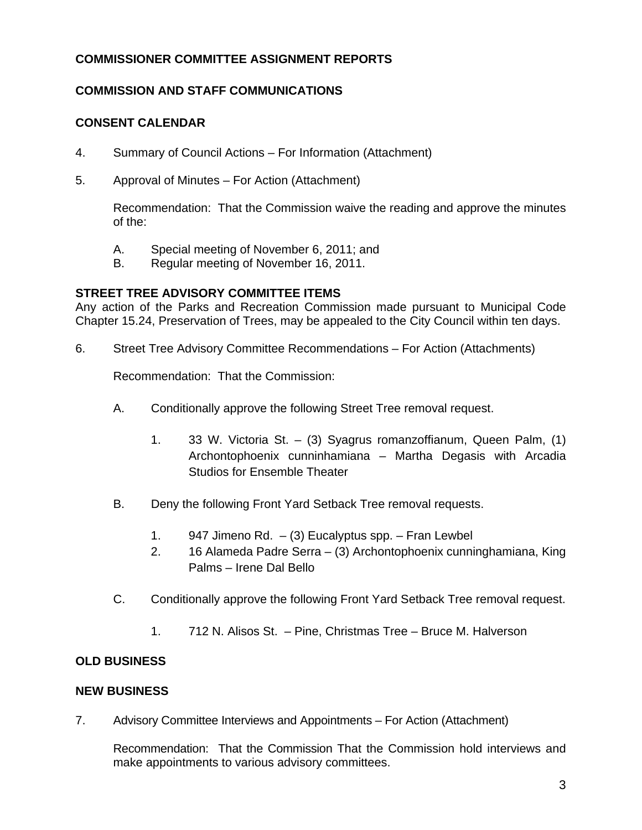# **COMMISSIONER COMMITTEE ASSIGNMENT REPORTS**

# **COMMISSION AND STAFF COMMUNICATIONS**

# **CONSENT CALENDAR**

- 4. Summary of Council Actions For Information (Attachment)
- 5. Approval of Minutes For Action (Attachment)

 Recommendation: That the Commission waive the reading and approve the minutes of the:

- A. Special meeting of November 6, 2011; and
- B. Regular meeting of November 16, 2011.

## **STREET TREE ADVISORY COMMITTEE ITEMS**

Any action of the Parks and Recreation Commission made pursuant to Municipal Code Chapter 15.24, Preservation of Trees, may be appealed to the City Council within ten days.

6. Street Tree Advisory Committee Recommendations – For Action (Attachments)

Recommendation: That the Commission:

- A. Conditionally approve the following Street Tree removal request.
	- 1. 33 W. Victoria St. (3) Syagrus romanzoffianum, Queen Palm, (1) Archontophoenix cunninhamiana – Martha Degasis with Arcadia Studios for Ensemble Theater
- B. Deny the following Front Yard Setback Tree removal requests.
	- 1. 947 Jimeno Rd.  $-$  (3) Eucalyptus spp. Fran Lewbel
	- 2. 16 Alameda Padre Serra (3) Archontophoenix cunninghamiana, King Palms – Irene Dal Bello
- C. Conditionally approve the following Front Yard Setback Tree removal request.
	- 1. 712 N. Alisos St. Pine, Christmas Tree Bruce M. Halverson

# **OLD BUSINESS**

#### **NEW BUSINESS**

7. Advisory Committee Interviews and Appointments – For Action (Attachment)

 Recommendation: That the Commission That the Commission hold interviews and make appointments to various advisory committees.